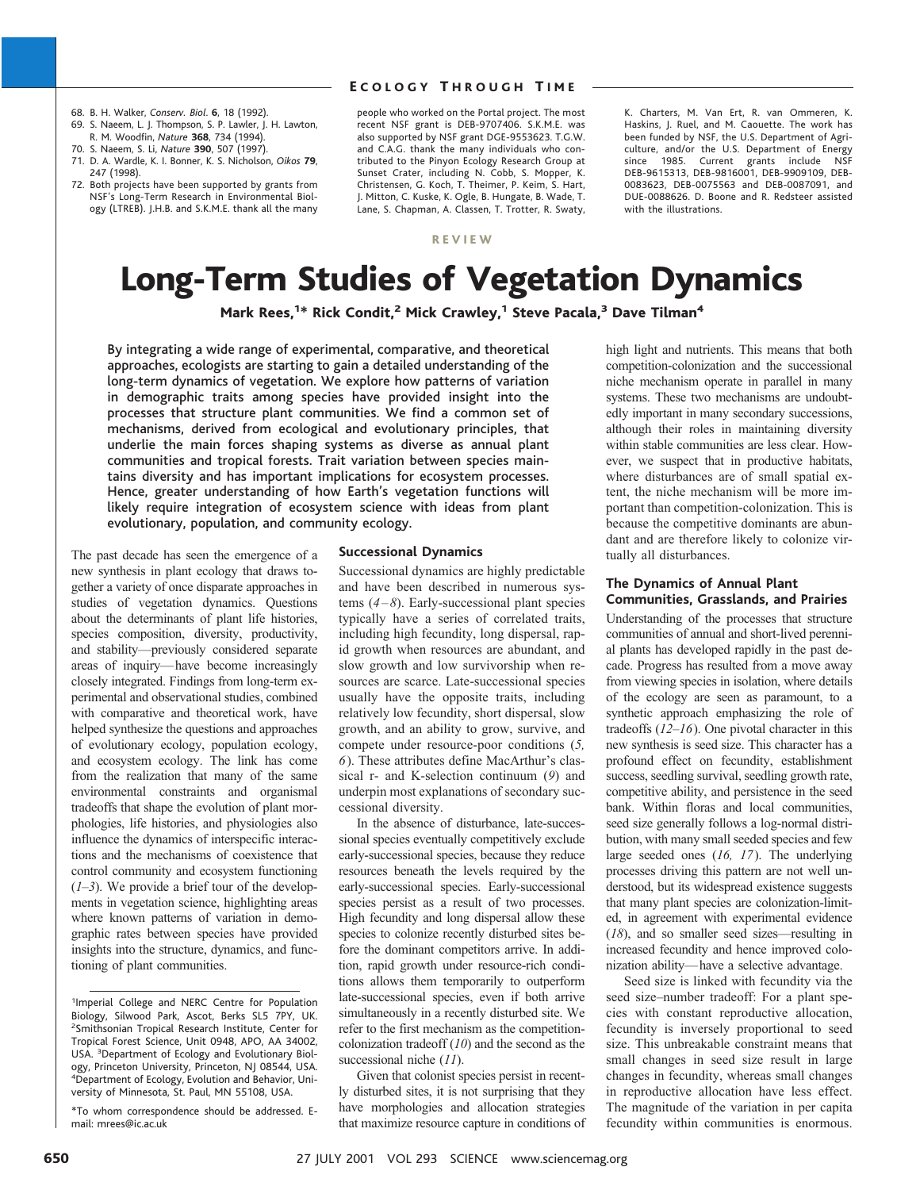68. B. H. Walker, *Conserv. Biol*. **6**, 18 (1992).

- 69. S. Naeem, L. J. Thompson, S. P. Lawler, J. H. Lawton, R. M. Woodfin, *Nature* **368**, 734 (1994).
- 70. S. Naeem, S. Li, *Nature* **390**, 507 (1997).
- 71. D. A. Wardle, K. I. Bonner, K. S. Nicholson, *Oikos* **79**, 247 (1998).
- 72. Both projects have been supported by grants from NSF's Long-Term Research in Environmental Biology (LTREB). J.H.B. and S.K.M.E. thank all the many

people who worked on the Portal project. The most recent NSF grant is DEB-9707406. S.K.M.E. was also supported by NSF grant DGE-9553623. T.G.W. and C.A.G. thank the many individuals who contributed to the Pinyon Ecology Research Group at Sunset Crater, including N. Cobb, S. Mopper, K. Christensen, G. Koch, T. Theimer, P. Keim, S. Hart, J. Mitton, C. Kuske, K. Ogle, B. Hungate, B. Wade, T. Lane, S. Chapman, A. Classen, T. Trotter, R. Swaty,

K. Charters, M. Van Ert, R. van Ommeren, K. Haskins, J. Ruel, and M. Caouette. The work has been funded by NSF, the U.S. Department of Agriculture, and/or the U.S. Department of Energy since 1985. Current grants include NSF DEB-9615313, DEB-9816001, DEB-9909109, DEB-0083623, DEB-0075563 and DEB-0087091, and DUE-0088626. D. Boone and R. Redsteer assisted with the illustrations.

#### REVIEW

## Long-Term Studies of Vegetation Dynamics

Mark Rees,<sup>1\*</sup> Rick Condit,<sup>2</sup> Mick Crawley,<sup>1</sup> Steve Pacala,<sup>3</sup> Dave Tilman<sup>4</sup>

By integrating a wide range of experimental, comparative, and theoretical approaches, ecologists are starting to gain a detailed understanding of the long-term dynamics of vegetation. We explore how patterns of variation in demographic traits among species have provided insight into the processes that structure plant communities. We find a common set of mechanisms, derived from ecological and evolutionary principles, that underlie the main forces shaping systems as diverse as annual plant communities and tropical forests. Trait variation between species maintains diversity and has important implications for ecosystem processes. Hence, greater understanding of how Earth's vegetation functions will likely require integration of ecosystem science with ideas from plant evolutionary, population, and community ecology.

The past decade has seen the emergence of a new synthesis in plant ecology that draws together a variety of once disparate approaches in studies of vegetation dynamics. Questions about the determinants of plant life histories, species composition, diversity, productivity, and stability—previously considered separate areas of inquiry—have become increasingly closely integrated. Findings from long-term experimental and observational studies, combined with comparative and theoretical work, have helped synthesize the questions and approaches of evolutionary ecology, population ecology, and ecosystem ecology. The link has come from the realization that many of the same environmental constraints and organismal tradeoffs that shape the evolution of plant morphologies, life histories, and physiologies also influence the dynamics of interspecific interactions and the mechanisms of coexistence that control community and ecosystem functioning  $(1-3)$ . We provide a brief tour of the developments in vegetation science, highlighting areas where known patterns of variation in demographic rates between species have provided insights into the structure, dynamics, and functioning of plant communities.

#### **Successional Dynamics**

Successional dynamics are highly predictable and have been described in numerous systems (*4–8*). Early-successional plant species typically have a series of correlated traits, including high fecundity, long dispersal, rapid growth when resources are abundant, and slow growth and low survivorship when resources are scarce. Late-successional species usually have the opposite traits, including relatively low fecundity, short dispersal, slow growth, and an ability to grow, survive, and compete under resource-poor conditions (*5, 6*). These attributes define MacArthur's classical r- and K-selection continuum (*9*) and underpin most explanations of secondary successional diversity.

In the absence of disturbance, late-successional species eventually competitively exclude early-successional species, because they reduce resources beneath the levels required by the early-successional species. Early-successional species persist as a result of two processes. High fecundity and long dispersal allow these species to colonize recently disturbed sites before the dominant competitors arrive. In addition, rapid growth under resource-rich conditions allows them temporarily to outperform late-successional species, even if both arrive simultaneously in a recently disturbed site. We refer to the first mechanism as the competitioncolonization tradeoff (*10*) and the second as the successional niche (*11*).

Given that colonist species persist in recently disturbed sites, it is not surprising that they have morphologies and allocation strategies that maximize resource capture in conditions of high light and nutrients. This means that both competition-colonization and the successional niche mechanism operate in parallel in many systems. These two mechanisms are undoubtedly important in many secondary successions, although their roles in maintaining diversity within stable communities are less clear. However, we suspect that in productive habitats, where disturbances are of small spatial extent, the niche mechanism will be more important than competition-colonization. This is because the competitive dominants are abundant and are therefore likely to colonize virtually all disturbances.

#### **The Dynamics of Annual Plant Communities, Grasslands, and Prairies**

Understanding of the processes that structure communities of annual and short-lived perennial plants has developed rapidly in the past decade. Progress has resulted from a move away from viewing species in isolation, where details of the ecology are seen as paramount, to a synthetic approach emphasizing the role of tradeoffs (*12–16*). One pivotal character in this new synthesis is seed size. This character has a profound effect on fecundity, establishment success, seedling survival, seedling growth rate, competitive ability, and persistence in the seed bank. Within floras and local communities, seed size generally follows a log-normal distribution, with many small seeded species and few large seeded ones (*16, 17*). The underlying processes driving this pattern are not well understood, but its widespread existence suggests that many plant species are colonization-limited, in agreement with experimental evidence (*18*), and so smaller seed sizes—resulting in increased fecundity and hence improved colonization ability—have a selective advantage.

Seed size is linked with fecundity via the seed size–number tradeoff: For a plant species with constant reproductive allocation, fecundity is inversely proportional to seed size. This unbreakable constraint means that small changes in seed size result in large changes in fecundity, whereas small changes in reproductive allocation have less effect. The magnitude of the variation in per capita fecundity within communities is enormous.

<sup>&</sup>lt;sup>1</sup>Imperial College and NERC Centre for Population Biology, Silwood Park, Ascot, Berks SL5 7PY, UK. 2 Smithsonian Tropical Research Institute, Center for Tropical Forest Science, Unit 0948, APO, AA 34002, USA. <sup>3</sup> Department of Ecology and Evolutionary Biology, Princeton University, Princeton, NJ 08544, USA. 4 Department of Ecology, Evolution and Behavior, University of Minnesota, St. Paul, MN 55108, USA.

<sup>\*</sup>To whom correspondence should be addressed. Email: mrees@ic.ac.uk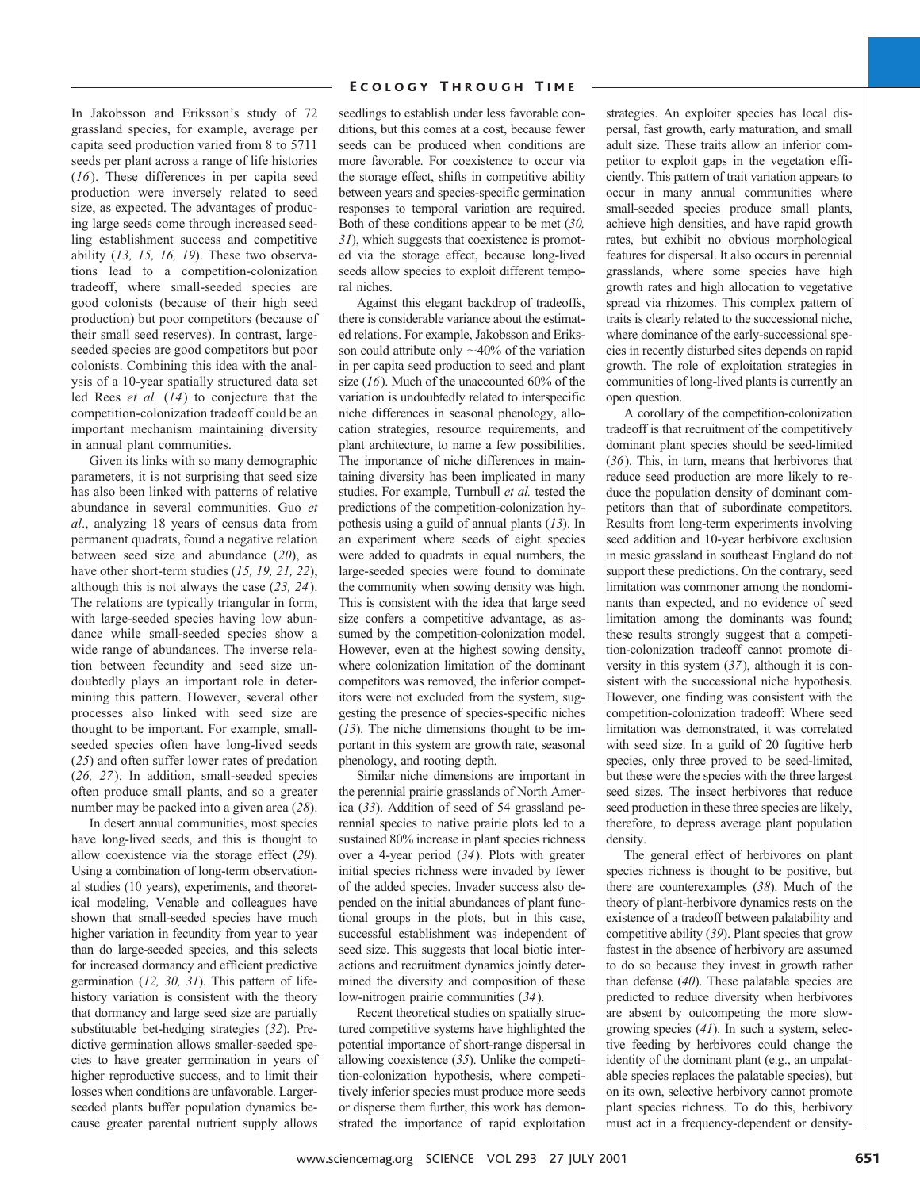In Jakobsson and Eriksson's study of 72 grassland species, for example, average per capita seed production varied from 8 to 5711 seeds per plant across a range of life histories (*16*). These differences in per capita seed production were inversely related to seed size, as expected. The advantages of producing large seeds come through increased seedling establishment success and competitive ability (*13, 15, 16, 19*). These two observations lead to a competition-colonization tradeoff, where small-seeded species are good colonists (because of their high seed production) but poor competitors (because of their small seed reserves). In contrast, largeseeded species are good competitors but poor colonists. Combining this idea with the analysis of a 10-year spatially structured data set led Rees *et al.* (*14*) to conjecture that the competition-colonization tradeoff could be an important mechanism maintaining diversity in annual plant communities.

Given its links with so many demographic parameters, it is not surprising that seed size has also been linked with patterns of relative abundance in several communities. Guo *et al*., analyzing 18 years of census data from permanent quadrats, found a negative relation between seed size and abundance (*20*), as have other short-term studies (*15, 19, 21, 22*), although this is not always the case (*23, 24*). The relations are typically triangular in form, with large-seeded species having low abundance while small-seeded species show a wide range of abundances. The inverse relation between fecundity and seed size undoubtedly plays an important role in determining this pattern. However, several other processes also linked with seed size are thought to be important. For example, smallseeded species often have long-lived seeds (*25*) and often suffer lower rates of predation (*26, 27*). In addition, small-seeded species often produce small plants, and so a greater number may be packed into a given area (*28*).

In desert annual communities, most species have long-lived seeds, and this is thought to allow coexistence via the storage effect (*29*). Using a combination of long-term observational studies (10 years), experiments, and theoretical modeling, Venable and colleagues have shown that small-seeded species have much higher variation in fecundity from year to year than do large-seeded species, and this selects for increased dormancy and efficient predictive germination (*12, 30, 31*). This pattern of lifehistory variation is consistent with the theory that dormancy and large seed size are partially substitutable bet-hedging strategies (*32*). Predictive germination allows smaller-seeded species to have greater germination in years of higher reproductive success, and to limit their losses when conditions are unfavorable. Largerseeded plants buffer population dynamics because greater parental nutrient supply allows

## ECOLOGY THROUGH TIME

seedlings to establish under less favorable conditions, but this comes at a cost, because fewer seeds can be produced when conditions are more favorable. For coexistence to occur via the storage effect, shifts in competitive ability between years and species-specific germination responses to temporal variation are required. Both of these conditions appear to be met (*30, 31*), which suggests that coexistence is promoted via the storage effect, because long-lived seeds allow species to exploit different temporal niches.

Against this elegant backdrop of tradeoffs, there is considerable variance about the estimated relations. For example, Jakobsson and Eriksson could attribute only  $\sim$ 40% of the variation in per capita seed production to seed and plant size (*16*). Much of the unaccounted 60% of the variation is undoubtedly related to interspecific niche differences in seasonal phenology, allocation strategies, resource requirements, and plant architecture, to name a few possibilities. The importance of niche differences in maintaining diversity has been implicated in many studies. For example, Turnbull *et al.* tested the predictions of the competition-colonization hypothesis using a guild of annual plants (*13*). In an experiment where seeds of eight species were added to quadrats in equal numbers, the large-seeded species were found to dominate the community when sowing density was high. This is consistent with the idea that large seed size confers a competitive advantage, as assumed by the competition-colonization model. However, even at the highest sowing density, where colonization limitation of the dominant competitors was removed, the inferior competitors were not excluded from the system, suggesting the presence of species-specific niches (*13*). The niche dimensions thought to be important in this system are growth rate, seasonal phenology, and rooting depth.

Similar niche dimensions are important in the perennial prairie grasslands of North America (*33*). Addition of seed of 54 grassland perennial species to native prairie plots led to a sustained 80% increase in plant species richness over a 4-year period (*34*). Plots with greater initial species richness were invaded by fewer of the added species. Invader success also depended on the initial abundances of plant functional groups in the plots, but in this case, successful establishment was independent of seed size. This suggests that local biotic interactions and recruitment dynamics jointly determined the diversity and composition of these low-nitrogen prairie communities (*34*).

Recent theoretical studies on spatially structured competitive systems have highlighted the potential importance of short-range dispersal in allowing coexistence (*35*). Unlike the competition-colonization hypothesis, where competitively inferior species must produce more seeds or disperse them further, this work has demonstrated the importance of rapid exploitation

strategies. An exploiter species has local dispersal, fast growth, early maturation, and small adult size. These traits allow an inferior competitor to exploit gaps in the vegetation efficiently. This pattern of trait variation appears to occur in many annual communities where small-seeded species produce small plants, achieve high densities, and have rapid growth rates, but exhibit no obvious morphological features for dispersal. It also occurs in perennial grasslands, where some species have high growth rates and high allocation to vegetative spread via rhizomes. This complex pattern of traits is clearly related to the successional niche, where dominance of the early-successional species in recently disturbed sites depends on rapid growth. The role of exploitation strategies in communities of long-lived plants is currently an open question.

A corollary of the competition-colonization tradeoff is that recruitment of the competitively dominant plant species should be seed-limited (*36*). This, in turn, means that herbivores that reduce seed production are more likely to reduce the population density of dominant competitors than that of subordinate competitors. Results from long-term experiments involving seed addition and 10-year herbivore exclusion in mesic grassland in southeast England do not support these predictions. On the contrary, seed limitation was commoner among the nondominants than expected, and no evidence of seed limitation among the dominants was found; these results strongly suggest that a competition-colonization tradeoff cannot promote diversity in this system (*37*), although it is consistent with the successional niche hypothesis. However, one finding was consistent with the competition-colonization tradeoff: Where seed limitation was demonstrated, it was correlated with seed size. In a guild of 20 fugitive herb species, only three proved to be seed-limited, but these were the species with the three largest seed sizes. The insect herbivores that reduce seed production in these three species are likely, therefore, to depress average plant population density.

The general effect of herbivores on plant species richness is thought to be positive, but there are counterexamples (*38*). Much of the theory of plant-herbivore dynamics rests on the existence of a tradeoff between palatability and competitive ability (*39*). Plant species that grow fastest in the absence of herbivory are assumed to do so because they invest in growth rather than defense (*40*). These palatable species are predicted to reduce diversity when herbivores are absent by outcompeting the more slowgrowing species (*41*). In such a system, selective feeding by herbivores could change the identity of the dominant plant (e.g., an unpalatable species replaces the palatable species), but on its own, selective herbivory cannot promote plant species richness. To do this, herbivory must act in a frequency-dependent or density-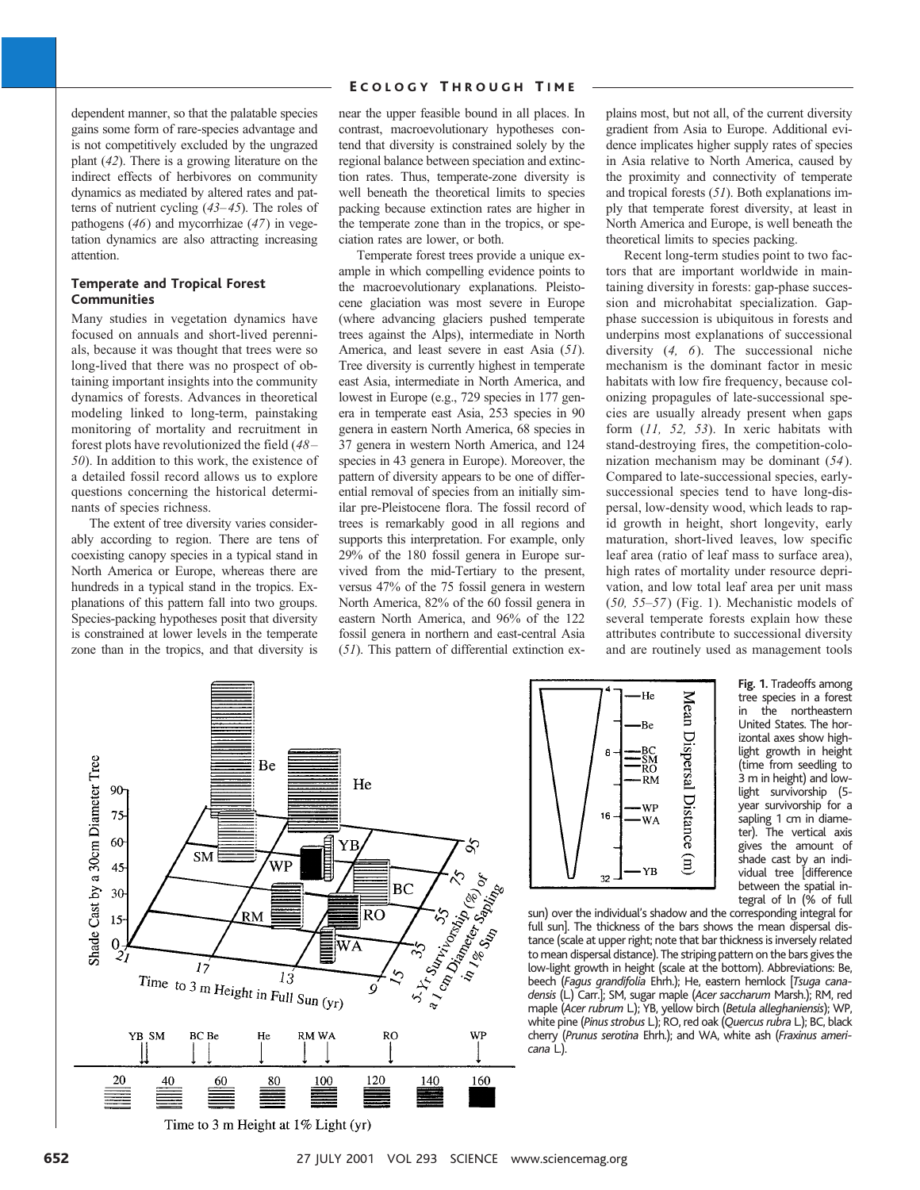dependent manner, so that the palatable species gains some form of rare-species advantage and is not competitively excluded by the ungrazed plant (*42*). There is a growing literature on the indirect effects of herbivores on community dynamics as mediated by altered rates and patterns of nutrient cycling (*43–45*). The roles of pathogens (*46*) and mycorrhizae (*47*) in vegetation dynamics are also attracting increasing attention.

### **Temperate and Tropical Forest Communities**

Many studies in vegetation dynamics have focused on annuals and short-lived perennials, because it was thought that trees were so long-lived that there was no prospect of obtaining important insights into the community dynamics of forests. Advances in theoretical modeling linked to long-term, painstaking monitoring of mortality and recruitment in forest plots have revolutionized the field (*48– 50*). In addition to this work, the existence of a detailed fossil record allows us to explore questions concerning the historical determinants of species richness.

The extent of tree diversity varies considerably according to region. There are tens of coexisting canopy species in a typical stand in North America or Europe, whereas there are hundreds in a typical stand in the tropics. Explanations of this pattern fall into two groups. Species-packing hypotheses posit that diversity is constrained at lower levels in the temperate zone than in the tropics, and that diversity is

near the upper feasible bound in all places. In contrast, macroevolutionary hypotheses contend that diversity is constrained solely by the regional balance between speciation and extinction rates. Thus, temperate-zone diversity is well beneath the theoretical limits to species packing because extinction rates are higher in the temperate zone than in the tropics, or speciation rates are lower, or both.

Temperate forest trees provide a unique example in which compelling evidence points to the macroevolutionary explanations. Pleistocene glaciation was most severe in Europe (where advancing glaciers pushed temperate trees against the Alps), intermediate in North America, and least severe in east Asia (*51*). Tree diversity is currently highest in temperate east Asia, intermediate in North America, and lowest in Europe (e.g., 729 species in 177 genera in temperate east Asia, 253 species in 90 genera in eastern North America, 68 species in 37 genera in western North America, and 124 species in 43 genera in Europe). Moreover, the pattern of diversity appears to be one of differential removal of species from an initially similar pre-Pleistocene flora. The fossil record of trees is remarkably good in all regions and supports this interpretation. For example, only 29% of the 180 fossil genera in Europe survived from the mid-Tertiary to the present, versus 47% of the 75 fossil genera in western North America, 82% of the 60 fossil genera in eastern North America, and 96% of the 122 fossil genera in northern and east-central Asia (*51*). This pattern of differential extinction ex-

plains most, but not all, of the current diversity gradient from Asia to Europe. Additional evidence implicates higher supply rates of species in Asia relative to North America, caused by the proximity and connectivity of temperate and tropical forests (*51*). Both explanations imply that temperate forest diversity, at least in North America and Europe, is well beneath the theoretical limits to species packing.

Recent long-term studies point to two factors that are important worldwide in maintaining diversity in forests: gap-phase succession and microhabitat specialization. Gapphase succession is ubiquitous in forests and underpins most explanations of successional diversity (*4, 6*). The successional niche mechanism is the dominant factor in mesic habitats with low fire frequency, because colonizing propagules of late-successional species are usually already present when gaps form (*11, 52, 53*). In xeric habitats with stand-destroying fires, the competition-colonization mechanism may be dominant (*54*). Compared to late-successional species, earlysuccessional species tend to have long-dispersal, low-density wood, which leads to rapid growth in height, short longevity, early maturation, short-lived leaves, low specific leaf area (ratio of leaf mass to surface area), high rates of mortality under resource deprivation, and low total leaf area per unit mass (*50, 55–57*) (Fig. 1). Mechanistic models of several temperate forests explain how these attributes contribute to successional diversity and are routinely used as management tools



·He Mean Dispersal Distance (m) Be BC<br>SM<br>RO  $RM$ .wF  $16$ •WA YB 32

**Fig. 1.** Tradeoffs among tree species in a forest in the northeastern United States. The horizontal axes show highlight growth in height (time from seedling to 3 m in height) and low-<br>light survivorship (5light survivorship year survivorship for a sapling 1 cm in diameter). The vertical axis gives the amount of shade cast by an individual tree [difference between the spatial integral of ln (% of full

sun) over the individual's shadow and the corresponding integral for full sun]. The thickness of the bars shows the mean dispersal distance (scale at upper right; note that bar thickness is inversely related to mean dispersal distance). The striping pattern on the bars gives the low-light growth in height (scale at the bottom). Abbreviations: Be, beech (*Fagus grandifolia* Ehrh.); He, eastern hemlock [*Tsuga canadensis* (L.) Carr.]; SM, sugar maple (*Acer saccharum* Marsh.); RM, red maple (*Acer rubrum* L.); YB, yellow birch (*Betula alleghaniensis*); WP, white pine (*Pinus strobus* L.); RO, red oak (*Quercus rubra* L.); BC, black cherry (*Prunus serotina* Ehrh.); and WA, white ash (*Fraxinus americana* L.).

Time to 3 m Height at 1% Light (yr)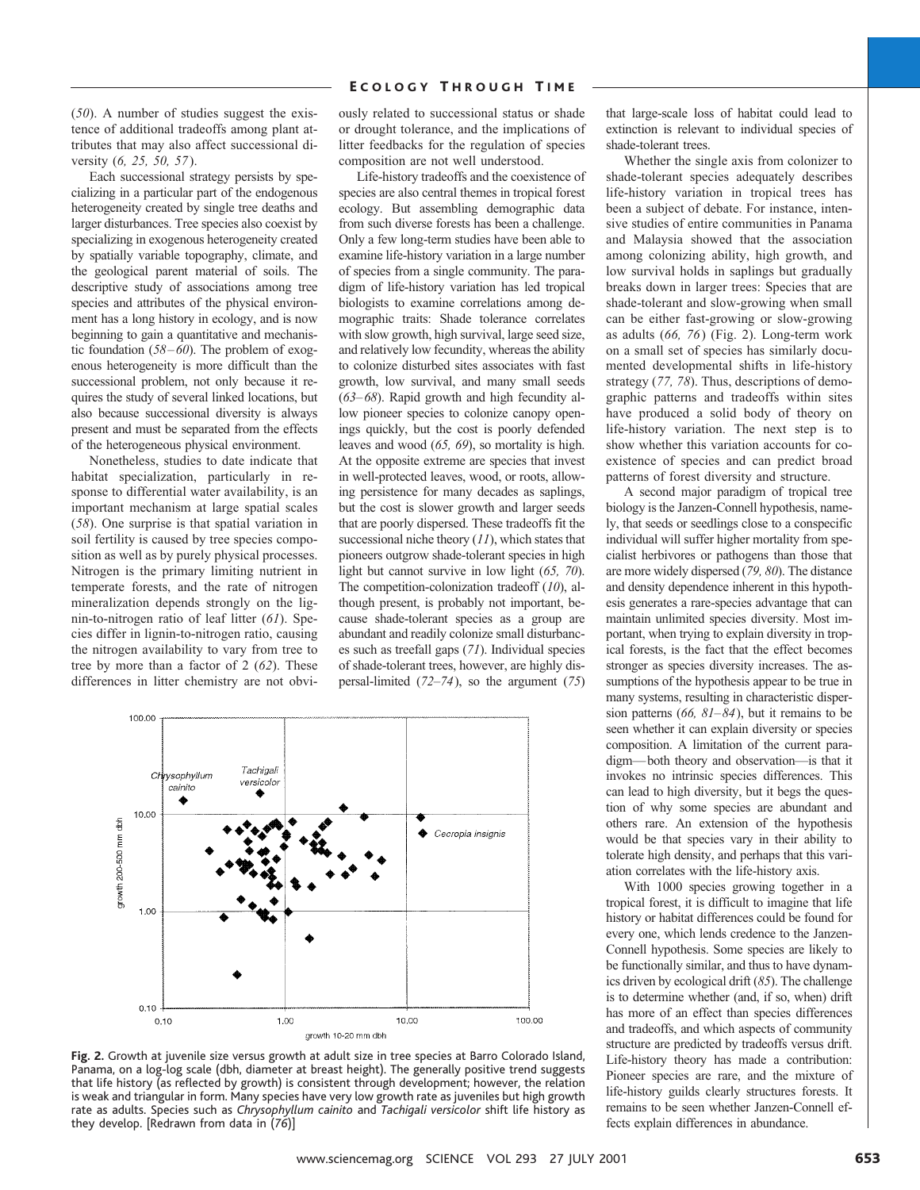(*50*). A number of studies suggest the existence of additional tradeoffs among plant attributes that may also affect successional diversity (*6, 25, 50, 57*).

Each successional strategy persists by specializing in a particular part of the endogenous heterogeneity created by single tree deaths and larger disturbances. Tree species also coexist by specializing in exogenous heterogeneity created by spatially variable topography, climate, and the geological parent material of soils. The descriptive study of associations among tree species and attributes of the physical environment has a long history in ecology, and is now beginning to gain a quantitative and mechanistic foundation (*58–60*). The problem of exogenous heterogeneity is more difficult than the successional problem, not only because it requires the study of several linked locations, but also because successional diversity is always present and must be separated from the effects of the heterogeneous physical environment.

Nonetheless, studies to date indicate that habitat specialization, particularly in response to differential water availability, is an important mechanism at large spatial scales (*58*). One surprise is that spatial variation in soil fertility is caused by tree species composition as well as by purely physical processes. Nitrogen is the primary limiting nutrient in temperate forests, and the rate of nitrogen mineralization depends strongly on the lignin-to-nitrogen ratio of leaf litter (*61*). Species differ in lignin-to-nitrogen ratio, causing the nitrogen availability to vary from tree to tree by more than a factor of 2 (*62*). These differences in litter chemistry are not obviously related to successional status or shade or drought tolerance, and the implications of litter feedbacks for the regulation of species composition are not well understood.

Life-history tradeoffs and the coexistence of species are also central themes in tropical forest ecology. But assembling demographic data from such diverse forests has been a challenge. Only a few long-term studies have been able to examine life-history variation in a large number of species from a single community. The paradigm of life-history variation has led tropical biologists to examine correlations among demographic traits: Shade tolerance correlates with slow growth, high survival, large seed size, and relatively low fecundity, whereas the ability to colonize disturbed sites associates with fast growth, low survival, and many small seeds (*63–68*). Rapid growth and high fecundity allow pioneer species to colonize canopy openings quickly, but the cost is poorly defended leaves and wood (*65, 69*), so mortality is high. At the opposite extreme are species that invest in well-protected leaves, wood, or roots, allowing persistence for many decades as saplings, but the cost is slower growth and larger seeds that are poorly dispersed. These tradeoffs fit the successional niche theory (*11*), which states that pioneers outgrow shade-tolerant species in high light but cannot survive in low light (*65, 70*). The competition-colonization tradeoff (*10*), although present, is probably not important, because shade-tolerant species as a group are abundant and readily colonize small disturbances such as treefall gaps (*71*). Individual species of shade-tolerant trees, however, are highly dispersal-limited (*72–74*), so the argument (*75*)



**Fig. 2.** Growth at juvenile size versus growth at adult size in tree species at Barro Colorado Island, Panama, on a log-log scale (dbh, diameter at breast height). The generally positive trend suggests that life history (as reflected by growth) is consistent through development; however, the relation is weak and triangular in form. Many species have very low growth rate as juveniles but high growth rate as adults. Species such as *Chrysophyllum cainito* and *Tachigali versicolor* shift life history as they develop. [Redrawn from data in (*76*)]

that large-scale loss of habitat could lead to extinction is relevant to individual species of shade-tolerant trees.

Whether the single axis from colonizer to shade-tolerant species adequately describes life-history variation in tropical trees has been a subject of debate. For instance, intensive studies of entire communities in Panama and Malaysia showed that the association among colonizing ability, high growth, and low survival holds in saplings but gradually breaks down in larger trees: Species that are shade-tolerant and slow-growing when small can be either fast-growing or slow-growing as adults (*66, 76*) (Fig. 2). Long-term work on a small set of species has similarly documented developmental shifts in life-history strategy (*77, 78*). Thus, descriptions of demographic patterns and tradeoffs within sites have produced a solid body of theory on life-history variation. The next step is to show whether this variation accounts for coexistence of species and can predict broad patterns of forest diversity and structure.

A second major paradigm of tropical tree biology is the Janzen-Connell hypothesis, namely, that seeds or seedlings close to a conspecific individual will suffer higher mortality from specialist herbivores or pathogens than those that are more widely dispersed (*79, 80*). The distance and density dependence inherent in this hypothesis generates a rare-species advantage that can maintain unlimited species diversity. Most important, when trying to explain diversity in tropical forests, is the fact that the effect becomes stronger as species diversity increases. The assumptions of the hypothesis appear to be true in many systems, resulting in characteristic dispersion patterns (*66, 81–84*), but it remains to be seen whether it can explain diversity or species composition. A limitation of the current paradigm—both theory and observation—is that it invokes no intrinsic species differences. This can lead to high diversity, but it begs the question of why some species are abundant and others rare. An extension of the hypothesis would be that species vary in their ability to tolerate high density, and perhaps that this variation correlates with the life-history axis.

With 1000 species growing together in a tropical forest, it is difficult to imagine that life history or habitat differences could be found for every one, which lends credence to the Janzen-Connell hypothesis. Some species are likely to be functionally similar, and thus to have dynamics driven by ecological drift (*85*). The challenge is to determine whether (and, if so, when) drift has more of an effect than species differences and tradeoffs, and which aspects of community structure are predicted by tradeoffs versus drift. Life-history theory has made a contribution: Pioneer species are rare, and the mixture of life-history guilds clearly structures forests. It remains to be seen whether Janzen-Connell effects explain differences in abundance.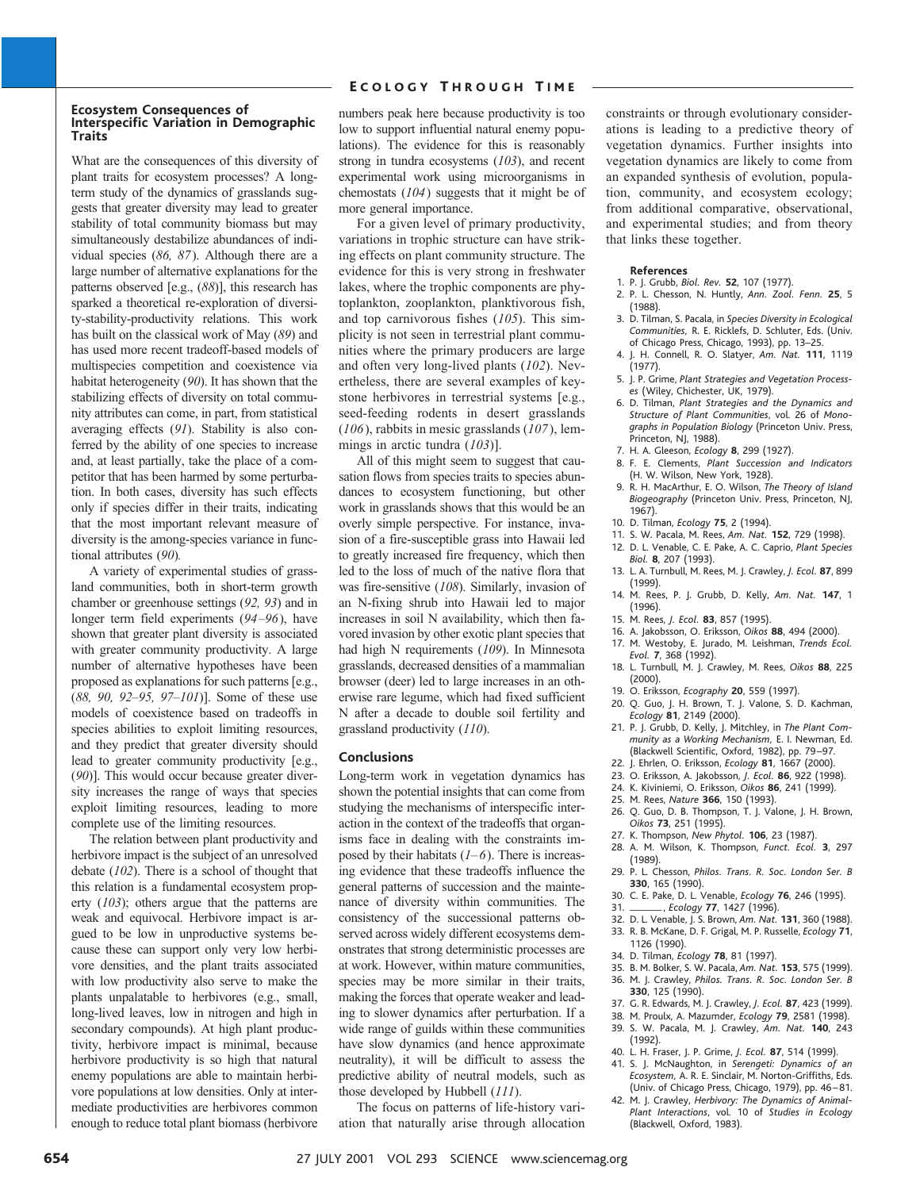#### **Ecosystem Consequences of Interspecific Variation in Demographic Traits**

What are the consequences of this diversity of plant traits for ecosystem processes? A longterm study of the dynamics of grasslands suggests that greater diversity may lead to greater stability of total community biomass but may simultaneously destabilize abundances of individual species (*86, 87*). Although there are a large number of alternative explanations for the patterns observed [e.g., (*88*)], this research has sparked a theoretical re-exploration of diversity-stability-productivity relations. This work has built on the classical work of May (*89*) and has used more recent tradeoff-based models of multispecies competition and coexistence via habitat heterogeneity (*90*). It has shown that the stabilizing effects of diversity on total community attributes can come, in part, from statistical averaging effects (*91*). Stability is also conferred by the ability of one species to increase and, at least partially, take the place of a competitor that has been harmed by some perturbation. In both cases, diversity has such effects only if species differ in their traits, indicating that the most important relevant measure of diversity is the among-species variance in functional attributes (*90*)*.*

A variety of experimental studies of grassland communities, both in short-term growth chamber or greenhouse settings (*92, 93*) and in longer term field experiments (*94–96*), have shown that greater plant diversity is associated with greater community productivity. A large number of alternative hypotheses have been proposed as explanations for such patterns [e.g., (*88, 90, 92–95, 97–101*)]. Some of these use models of coexistence based on tradeoffs in species abilities to exploit limiting resources, and they predict that greater diversity should lead to greater community productivity [e.g., (*90*)]. This would occur because greater diversity increases the range of ways that species exploit limiting resources, leading to more complete use of the limiting resources.

The relation between plant productivity and herbivore impact is the subject of an unresolved debate (*102*). There is a school of thought that this relation is a fundamental ecosystem property (*103*); others argue that the patterns are weak and equivocal. Herbivore impact is argued to be low in unproductive systems because these can support only very low herbivore densities, and the plant traits associated with low productivity also serve to make the plants unpalatable to herbivores (e.g., small, long-lived leaves, low in nitrogen and high in secondary compounds). At high plant productivity, herbivore impact is minimal, because herbivore productivity is so high that natural enemy populations are able to maintain herbivore populations at low densities. Only at intermediate productivities are herbivores common enough to reduce total plant biomass (herbivore

numbers peak here because productivity is too low to support influential natural enemy populations). The evidence for this is reasonably strong in tundra ecosystems (*103*), and recent experimental work using microorganisms in chemostats (*104*) suggests that it might be of more general importance.

For a given level of primary productivity, variations in trophic structure can have striking effects on plant community structure. The evidence for this is very strong in freshwater lakes, where the trophic components are phytoplankton, zooplankton, planktivorous fish, and top carnivorous fishes (*105*). This simplicity is not seen in terrestrial plant communities where the primary producers are large and often very long-lived plants (*102*). Nevertheless, there are several examples of keystone herbivores in terrestrial systems [e.g., seed-feeding rodents in desert grasslands (*106*), rabbits in mesic grasslands (*107*), lemmings in arctic tundra (*103*)].

All of this might seem to suggest that causation flows from species traits to species abundances to ecosystem functioning, but other work in grasslands shows that this would be an overly simple perspective. For instance, invasion of a fire-susceptible grass into Hawaii led to greatly increased fire frequency, which then led to the loss of much of the native flora that was fire-sensitive (*108*). Similarly, invasion of an N-fixing shrub into Hawaii led to major increases in soil N availability, which then favored invasion by other exotic plant species that had high N requirements (*109*). In Minnesota grasslands, decreased densities of a mammalian browser (deer) led to large increases in an otherwise rare legume, which had fixed sufficient N after a decade to double soil fertility and grassland productivity (*110*).

#### **Conclusions**

Long-term work in vegetation dynamics has shown the potential insights that can come from studying the mechanisms of interspecific interaction in the context of the tradeoffs that organisms face in dealing with the constraints imposed by their habitats  $(1-6)$ . There is increasing evidence that these tradeoffs influence the general patterns of succession and the maintenance of diversity within communities. The consistency of the successional patterns observed across widely different ecosystems demonstrates that strong deterministic processes are at work. However, within mature communities, species may be more similar in their traits, making the forces that operate weaker and leading to slower dynamics after perturbation. If a wide range of guilds within these communities have slow dynamics (and hence approximate neutrality), it will be difficult to assess the predictive ability of neutral models, such as those developed by Hubbell (*111*).

The focus on patterns of life-history variation that naturally arise through allocation constraints or through evolutionary considerations is leading to a predictive theory of vegetation dynamics. Further insights into vegetation dynamics are likely to come from an expanded synthesis of evolution, population, community, and ecosystem ecology; from additional comparative, observational, and experimental studies; and from theory that links these together.

#### **References**

- 1. P. J. Grubb, *Biol. Rev.* **52**, 107 (1977).
- 2. P. L. Chesson, N. Huntly, *Ann. Zool. Fenn.* **25**, 5 (1988).
- 3. D. Tilman, S. Pacala, in *Species Diversity in Ecological Communities,* R. E. Ricklefs, D. Schluter, Eds. (Univ. of Chicago Press, Chicago, 1993), pp. 13–25.
- 4. J. H. Connell, R. O. Slatyer, *Am. Nat.* **111**, 1119 (1977).
- 5. J. P. Grime, *Plant Strategies and Vegetation Processes* (Wiley, Chichester, UK, 1979).
- 6. D. Tilman, *Plant Strategies and the Dynamics and Structure of Plant Communities*, vol. 26 of *Monographs in Population Biology* (Princeton Univ. Press, Princeton, NJ, 1988).
- 7. H. A. Gleeson, *Ecology* **8**, 299 (1927).
- 8. F. E. Clements, *Plant Succession and Indicators* (H. W. Wilson, New York, 1928).
- 9. R. H. MacArthur, E. O. Wilson, *The Theory of Island Biogeography* (Princeton Univ. Press, Princeton, NJ, 1967).
- 10. D. Tilman, *Ecology* **75**, 2 (1994).
- 11. S. W. Pacala, M. Rees, *Am. Nat.* **152**, 729 (1998). 12. D. L. Venable, C. E. Pake, A. C. Caprio, *Plant Species Biol.* **8**, 207 (1993).
- 13. L. A. Turnbull, M. Rees, M. J. Crawley, *J. Ecol.* **87**, 899 (1999).
- 14. M. Rees, P. J. Grubb, D. Kelly, *Am. Nat.* **147**, 1 (1996).
- 15. M. Rees, *J. Ecol.* **83**, 857 (1995).
- 16. A. Jakobsson, O. Eriksson, *Oikos* **88**, 494 (2000).
- 17. M. Westoby, E. Jurado, M. Leishman, *Trends Ecol. Evol.* **7**, 368 (1992).
- 18. L. Turnbull, M. J. Crawley, M. Rees, *Oikos* **88**, 225 (2000).
- 19. O. Eriksson, *Ecography* **20**, 559 (1997). 20. Q. Guo, J. H. Brown, T. J. Valone, S. D. Kachman, *Ecology* **81**, 2149 (2000).
- 21. P. J. Grubb, D. Kelly, J. Mitchley, in *The Plant Community as a Working Mechanism,* E. I. Newman, Ed. (Blackwell Scientific, Oxford, 1982), pp. 79 –97.
- 22. J. Ehrlen, O. Eriksson, *Ecology* **81**, 1667 (2000).
- 23. O. Eriksson, A. Jakobsson, *J. Ecol.* **86**, 922 (1998).
- 24. K. Kiviniemi, O. Eriksson, *Oikos* **86**, 241 (1999).
- 25. M. Rees, *Nature* **366**, 150 (1993).
- 26. Q. Guo, D. B. Thompson, T. J. Valone, J. H. Brown, *Oikos* **73**, 251 (1995).
- 27. K. Thompson, *New Phytol.* **106**, 23 (1987).
- 28. A. M. Wilson, K. Thompson, *Funct. Ecol.* **3**, 297 (1989).
- 29. P. L. Chesson, *Philos. Trans. R. Soc. London Ser. B* **330**, 165 (1990).
- 30. C. E. Pake, D. L. Venable, *Ecology* **76**, 246 (1995).
- 31. iiii, *Ecology* **<sup>77</sup>**, 1427 (1996).
- 32. D. L. Venable, J. S. Brown, *Am. Nat.* **131**, 360 (1988).
- 33. R. B. McKane, D. F. Grigal, M. P. Russelle, *Ecology* **71**, 1126 (1990).
- 34. D. Tilman, *Ecology* **78**, 81 (1997).
- 35. B. M. Bolker, S. W. Pacala, *Am. Nat.* **153**, 575 (1999).
- 36. M. J. Crawley, *Philos. Trans. R. Soc. London Ser. B* **330**, 125 (1990).
- 37. G. R. Edwards, M. J. Crawley, *J. Ecol.* **87**, 423 (1999).
- 38. M. Proulx, A. Mazumder, *Ecology* **79**, 2581 (1998).
- 39. S. W. Pacala, M. J. Crawley, *Am. Nat.* **140**, 243 (1992).
- 40. L. H. Fraser, J. P. Grime, *J. Ecol.* **87**, 514 (1999).
- 41. S. J. McNaughton, in *Serengeti: Dynamics of an Ecosystem,* A. R. E. Sinclair, M. Norton-Griffiths, Eds. (Univ. of Chicago Press, Chicago, 1979), pp. 46 – 81.
- 42. M. J. Crawley, *Herbivory: The Dynamics of Animal-Plant Interactions*, vol. 10 of *Studies in Ecology* (Blackwell, Oxford, 1983).